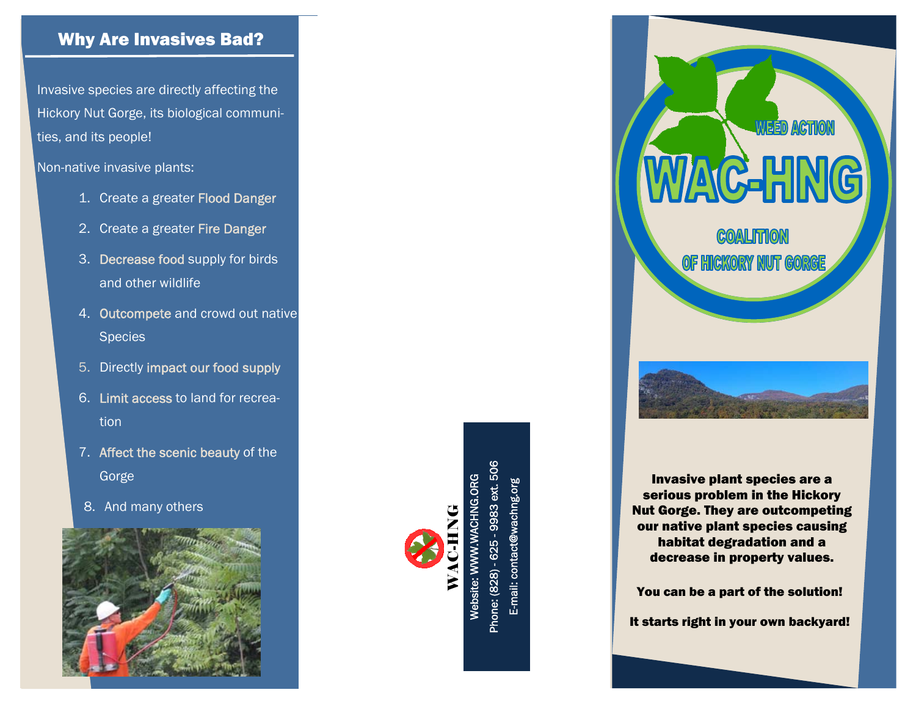## Why Are Invasives Bad?

Invasive species are directly affecting the Hickory Nut Gorge, its biological communities, and its people!

Non-native invasive plants:

- 1. Create a greater Flood Danger
- 2. Create a greater Fire Danger
- 3. Decrease food supply for birds and other wildlife
- 4. Outcompete and crowd out native Species
- 5. Directly impact our food supply
- 6. Limit access to land for recreation
- 7. Affect the scenic beauty of the Gorge
- 8. And many others





Phone: (828) - 625 - 9983 ext. 506 Website: WWW.WACHNG.ORG E-mail: contact@wachng.org တ္တ



Invasive plant species are a serious problem in the Hickory Nut Gorge. They are outcompeting our native plant species causing habitat degradation and a decrease in property values.

You can be a part of the solution!

It starts right in your own backyard!